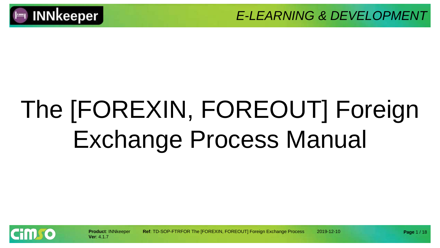

*E-LEARNING & DEVELOPMENT* 

# The [FOREXIN, FOREOUT] Foreign Exchange Process Manual



**Product**: INNkeeper **Ref**: TD-SOP-FTRFOR The [FOREXIN, FOREOUT] Foreign Exchange Process 2019-12-10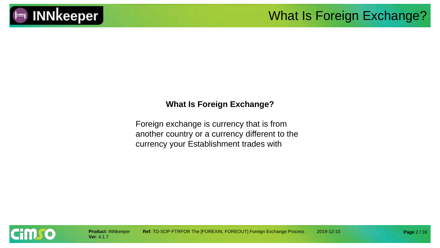

# **INNkeeper**

#### **What Is Foreign Exchange?**

Foreign exchange is currency that is from another country or a currency different to the currency your Establishment trades with

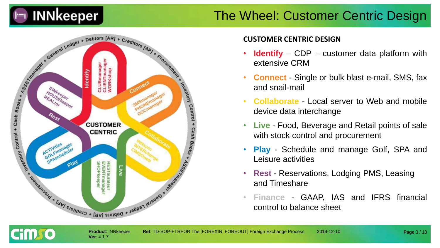

#### The Wheel: Customer Centric Design



**Ver**: 4.1.7

cim so

#### **CUSTOMER CENTRIC DESIGN**

- **Identify** CDP customer data platform with extensive CRM
- **Connect** Single or bulk blast e-mail, SMS, fax and snail-mail
- **Collaborate** Local server to Web and mobile device data interchange
- **Live** Food, Beverage and Retail points of sale with stock control and procurement
- **Play** Schedule and manage Golf, SPA and Leisure activities
- **Rest** Reservations, Lodging PMS, Leasing and Timeshare
- **Finance** GAAP, IAS and IFRS financial control to balance sheet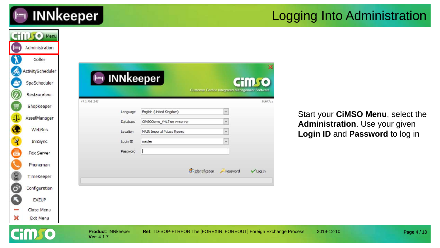

#### Logging Into Administration

|                                             | <b>CHILLIO Menu</b> |                                         |                                                                    |                                                        |                 |                                   |
|---------------------------------------------|---------------------|-----------------------------------------|--------------------------------------------------------------------|--------------------------------------------------------|-----------------|-----------------------------------|
| $\left( \left  \frac{1}{2} \right  \right)$ | Administration      |                                         |                                                                    |                                                        |                 |                                   |
|                                             | Golfer              |                                         |                                                                    |                                                        |                 |                                   |
| கூ                                          | ActivityScheduler   |                                         |                                                                    |                                                        |                 |                                   |
| S                                           | SpaScheduler        | $\vdash$                                | <b>INNkeeper</b>                                                   |                                                        | <b>CHILL TO</b> |                                   |
| Ø                                           | Restaurateur        |                                         |                                                                    | <b>Customer Centric Integrated Management Software</b> |                 |                                   |
| 圓                                           | ShopKeeper          | V4.1.7b11143                            |                                                                    |                                                        | 8d647da         |                                   |
| $\Phi$                                      | AssetManager        | Language<br>Database                    | English (United Kingdom)<br>CIMSODemo_V417 on vmserver             | $\checkmark$<br>$\checkmark$                           |                 | Start your CIMSO Menu, select the |
| $\bullet$                                   | WebRes              | Location                                | <b>MAIN Imperial Palace Rooms</b>                                  | $\checkmark$                                           |                 | Administration. Use your given    |
|                                             | InnSync             | Login ID                                | master                                                             |                                                        |                 | Login ID and Password to log in   |
| X                                           | Fax Server          | Password                                |                                                                    |                                                        |                 |                                   |
|                                             | Phoneman            |                                         |                                                                    |                                                        |                 |                                   |
|                                             | TimeKeeper          |                                         |                                                                    | <b>S</b> O Identification<br>Password                  | Log In          |                                   |
| <b>C<sub>3</sub></b> 60                     | Configuration       |                                         |                                                                    |                                                        |                 |                                   |
| ß                                           | <b>EXEUP</b>        |                                         |                                                                    |                                                        |                 |                                   |
|                                             | Close Menu          |                                         |                                                                    |                                                        |                 |                                   |
| ×                                           | Exit Menu           |                                         |                                                                    |                                                        |                 |                                   |
|                                             |                     | <b>Product: INNkeeper</b><br>Ver: 4.1.7 | Ref: TD-SOP-FTRFOR The [FOREXIN, FOREOUT] Foreign Exchange Process |                                                        |                 | 2019-12-10<br>Page 4 / 18         |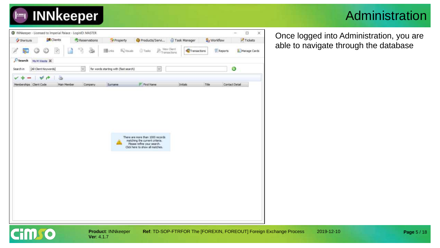

#### Administration



**Ver**: 4.1.7

**Cimro** 

**Product**: INNkeeper **Ref**: TD-SOP-FTRFOR The [FOREXIN, FOREOUT] Foreign Exchange Process 2019-12-10

Once logged into Administration, you are able to navigate through the database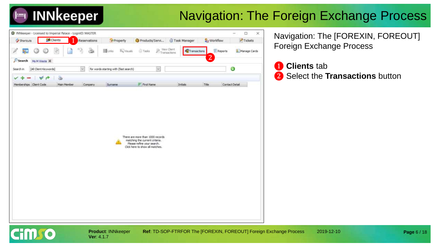

### Navigation: The Foreign Exchange Process



**Ver**: 4.1.7

Navigation: The [FOREXIN, FOREOUT] Foreign Exchange Process

#### ❶ **Clients** tab ❷ Select the **Transactions** button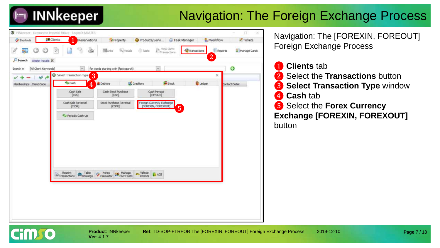## **INNkeeper**

## Navigation: The Foreign Exchange Process



Navigation: The [FOREXIN, FOREOUT] Foreign Exchange Process

**Clients** tab ❷ Select the **Transactions** button **3** Select Transaction Type window ❹ **Cash** tab ❺ Select the **Forex Currency Exchange [FOREXIN, FOREXOUT]**  button

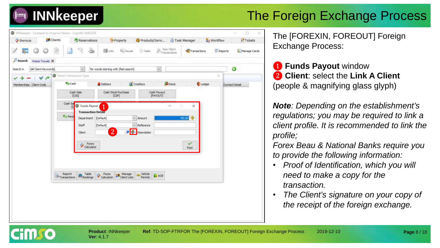

| INNkeeper - Licensed to Imperial Palace - LoginID: MASTER |                                                                                           |                                                                                                                                                                 |                                                                                                     |                                         |                                    | o<br>5                  |
|-----------------------------------------------------------|-------------------------------------------------------------------------------------------|-----------------------------------------------------------------------------------------------------------------------------------------------------------------|-----------------------------------------------------------------------------------------------------|-----------------------------------------|------------------------------------|-------------------------|
| <b>R</b> Clients<br><b>Cy Shortcuts</b>                   | Reservations                                                                              | Property                                                                                                                                                        | Products/Servi                                                                                      | Task Manager                            | <b>L</b> y Workflow                | $T$ Tickets             |
|                                                           | J<br>$\mathbb{R}^2$                                                                       | <b>The Links</b><br>œ                                                                                                                                           | <sup>1</sup> Tasks<br><b>Ely Visuals</b>                                                            | View Client<br>$E_{\text{Transaction}}$ | Transactions                       | Reports<br>Manage Cards |
| Search<br>Weste Travels 30                                |                                                                                           |                                                                                                                                                                 |                                                                                                     |                                         |                                    |                         |
| [All Client Keywords]<br>Search in                        | w                                                                                         | for words starting with (fast search).                                                                                                                          |                                                                                                     | N6                                      |                                    | ◉                       |
| v<br>$\mathbf{r}^{\mathbf{p}}$                            | Select Transaction Type                                                                   |                                                                                                                                                                 |                                                                                                     |                                         |                                    | ×                       |
| Memberships Client Code                                   | Cash                                                                                      | Debtors                                                                                                                                                         | Creditors                                                                                           | <b>Stock</b>                            | Ledger                             | Contact Detail          |
|                                                           | Cash Sale<br>[CS5]                                                                        | Cash Stock Purchase<br>[CSP]                                                                                                                                    |                                                                                                     | Cash Payout<br>[PAYOUT]                 |                                    |                         |
|                                                           | Cash 5a<br>ĩΟ<br><b>C</b> Perio<br>Staff<br>Client<br>Reprint<br>Transactions<br>Bookings | G Funds Payout<br>1.<br><b>Transaction Detail</b><br>Department [Default]<br>[Default]<br>$\overline{2}$<br>Forex<br>Calculator<br>Table<br>Forex<br>Calculator | $\sim$ Amount<br>Reference<br>Description<br>vehicle<br><b>ER</b> Manage<br>Client Lists<br>Permits | Ð<br>R0.00<br><b>ACB</b>                | $^{\times}$<br><b>Sept</b><br>Post |                         |

**Ver**: 4.1.7

The [FOREXIN, FOREOUT] Foreign Exchange Process:

❶ **Funds Payout** window ❷ **Client**: select the **Link A Client**  (people & magnifying glass glyph)

*Note: Depending on the establishment's regulations; you may be required to link a client profile. It is recommended to link the profile;* 

*Forex Beau & National Banks require you to provide the following information:*

- *Proof of Identification, which you will need to make a copy for the transaction.*
- *The Client's signature on your copy of the receipt of the foreign exchange.*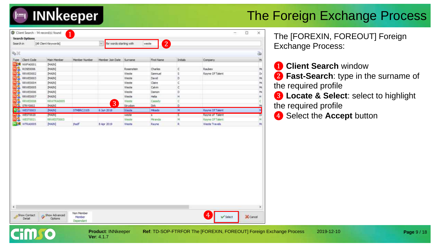

| 9.10        | Search in                   | [All Client Keywords] |                   | for words starting with<br>$\omega$ |                | $\boxed{2}$<br>weste |          |                        | ے       | The [FOREXIN, F<br><b>Exchange Process</b> |
|-------------|-----------------------------|-----------------------|-------------------|-------------------------------------|----------------|----------------------|----------|------------------------|---------|--------------------------------------------|
| Type        | Client Code                 | Main Member           | Member Number     | Member Join Date                    | Surname        | First Name           | Initials | Company                | 胚       |                                            |
| M. SS       | NWFA0001                    | [MAIN]                |                   |                                     |                |                      |          |                        |         | 1 Client Search                            |
| 513         | ROSE0006                    | [MAIN]                |                   |                                     | Rosenstein     | Charles              | c.       | Raubex                 | M       |                                            |
| 618         | RRWE0002<br><b>RRWE0003</b> | [MAIN]<br>[MAIN]      |                   |                                     | Weste<br>Weste | Samnuel<br>David     | s<br>D   | Rayne Of Talent        | Dr<br>M | 2 Fast-Search: t                           |
| <b>NI 2</b> | <b>RRWE0004</b>             | [MAIN]                |                   |                                     | Weste          | Claire               | c.       |                        | м       |                                            |
| Ш.          | RRWE0005                    | [MAIN]                |                   |                                     | Weste          | Calvin               | C.       |                        | M       | the required profile                       |
| EU S        | RRWE0006                    | [MAIN]                |                   |                                     | Weste          | Damon                | D.       |                        | M       |                                            |
| M Z         | <b>RRWE0007</b>             | [MAIN]                |                   |                                     | Weste          | Helia                | н        |                        | н       | <b>3</b> Locate & Sele                     |
| 98          | RRWE0008                    | RRWTRA0005            |                   |                                     | Weste          | Cassdy               | C        |                        |         |                                            |
|             | STRY0002                    | [MAIN]                |                   | 3                                   | Strydom        | Dek                  | D        |                        |         | the required profile                       |
|             | <b>WEST0003</b>             | [MAIN]                | <b>STMBRC2105</b> | 6 Jun 2018                          | Weste          | Mikado               | M        | Rayne Of Talent        |         |                                            |
| шы          | WEST0020                    | [MAIN]                |                   |                                     | weste          | $\frac{1}{2}$        | s        | Rayne of Talent        |         | 4 Select the Acc                           |
|             | WEST0021                    | RRWEST0003            |                   |                                     | Weste          | Miranda              | M.       | <b>Rayne Of Talent</b> |         |                                            |
|             | <b>JUST</b> WTRA0005        | [MAIN]                | thedf             | 8 Apr 2019                          | Weste          | Rayne                | R.       | Weste Travels          | M       |                                            |
|             |                             |                       |                   |                                     |                |                      |          |                        |         |                                            |
|             |                             |                       |                   |                                     |                |                      |          |                        |         |                                            |

**Ver**: 4.1.7

1 I I I J I

The [FOREXIN, FOREOUT] Foreign Exchange Process:

- ❶ **Client Search** window
- ❷ **Fast-Search**: type in the surname of the required profile
- ❸ **Locate & Select**: select to highlight the required profile
- 4 Select the **Accept** button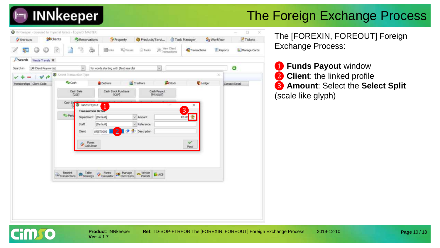

| Shortcuts              |                       |                  | <b>SR</b> Clients                                                                                                                                                                                                                                                                                                                                                                                                                                                                                                                                                                                                                                                     |                                | Reservations        |                                                               | * Property                   | Products/Servi |                           | Task Manager |              | Workflow |                  | Tickets      |
|------------------------|-----------------------|------------------|-----------------------------------------------------------------------------------------------------------------------------------------------------------------------------------------------------------------------------------------------------------------------------------------------------------------------------------------------------------------------------------------------------------------------------------------------------------------------------------------------------------------------------------------------------------------------------------------------------------------------------------------------------------------------|--------------------------------|---------------------|---------------------------------------------------------------|------------------------------|----------------|---------------------------|--------------|--------------|----------|------------------|--------------|
| 84                     | G                     | ☺                | $[2] \centering% \includegraphics[width=1.8\columnwidth]{figures/fig_10.pdf} \caption{The 3D (black) model for the $2D$-error of the estimators (black) model. The left side is the number of~\acp{0}. The right side is the number of~\acp{0}. The right side is the number of~\acp{0}. The right side is the number of~\acp{0}. The right side is the number of~\acp{0}. The right side is the number of~\acp{0}. The right side is the number of~\acp{0}. The right side is the number of~\acp{0}. The right side is the number of~\acp{0}. The right side is the number of~\acp{0}. The right side is the number of~\acp{0}. The right side is the number of~\ac$ |                                | $\mathcal{O}_\ell$  | <b>目Links</b><br>ö                                            | <b>By Visuals</b>            | <b>Tasks</b>   | $\widehat{p}$ Transactors | View Chent   | Transactions |          | <b>E</b> Reports | Manage Cards |
| Search                 |                       | Weste Travels 30 |                                                                                                                                                                                                                                                                                                                                                                                                                                                                                                                                                                                                                                                                       |                                |                     |                                                               |                              |                |                           |              |              |          |                  |              |
| Search in              | [All Client Keywords] |                  |                                                                                                                                                                                                                                                                                                                                                                                                                                                                                                                                                                                                                                                                       |                                | $\sim$              | for words starting with (fast search)                         |                              |                | $\check{\phantom{a}}$     |              |              |          | $\bullet$        |              |
|                        |                       | VA               |                                                                                                                                                                                                                                                                                                                                                                                                                                                                                                                                                                                                                                                                       | Select Transaction Type        |                     |                                                               |                              |                |                           |              |              | ×        |                  |              |
| Memberships Clent Code |                       |                  |                                                                                                                                                                                                                                                                                                                                                                                                                                                                                                                                                                                                                                                                       | Cash                           |                     | Debtors                                                       |                              | Creditors      |                           | <b>Stock</b> | Ledger:      |          | Contact Detail   |              |
|                        |                       |                  |                                                                                                                                                                                                                                                                                                                                                                                                                                                                                                                                                                                                                                                                       |                                | Cash Sale<br>[CS5]  |                                                               | Cash Stock Purchase<br>[CSP] |                | Cash Payout<br>[PAYOUT]   |              |              |          |                  |              |
|                        |                       |                  |                                                                                                                                                                                                                                                                                                                                                                                                                                                                                                                                                                                                                                                                       |                                |                     |                                                               |                              |                |                           |              |              |          |                  |              |
|                        |                       |                  |                                                                                                                                                                                                                                                                                                                                                                                                                                                                                                                                                                                                                                                                       | Cash Sa                        | Funds Payout        |                                                               |                              |                |                           | $\sim$<br>m. | $\times$     |          |                  |              |
|                        |                       |                  |                                                                                                                                                                                                                                                                                                                                                                                                                                                                                                                                                                                                                                                                       | <b>C</b> Perio                 |                     | <b>Transaction Detail</b><br>Department [Default]             |                              | $\vee$ Amount  |                           | 3<br>R0.00   | 총            |          |                  |              |
|                        |                       |                  |                                                                                                                                                                                                                                                                                                                                                                                                                                                                                                                                                                                                                                                                       |                                | Staff               | [Default]                                                     |                              | $-$ Reference  |                           |              |              |          |                  |              |
|                        |                       |                  |                                                                                                                                                                                                                                                                                                                                                                                                                                                                                                                                                                                                                                                                       |                                | <b>Client</b>       | WEST0003                                                      | 2 <sup>1</sup>               | Description    |                           |              |              |          |                  |              |
|                        |                       |                  |                                                                                                                                                                                                                                                                                                                                                                                                                                                                                                                                                                                                                                                                       |                                |                     |                                                               |                              |                |                           |              |              |          |                  |              |
|                        |                       |                  |                                                                                                                                                                                                                                                                                                                                                                                                                                                                                                                                                                                                                                                                       |                                | Forex<br>Calculator |                                                               |                              |                |                           |              | Post         |          |                  |              |
|                        |                       |                  |                                                                                                                                                                                                                                                                                                                                                                                                                                                                                                                                                                                                                                                                       |                                |                     |                                                               |                              |                |                           |              |              |          |                  |              |
|                        |                       |                  |                                                                                                                                                                                                                                                                                                                                                                                                                                                                                                                                                                                                                                                                       |                                |                     |                                                               |                              |                |                           |              |              |          |                  |              |
|                        |                       |                  |                                                                                                                                                                                                                                                                                                                                                                                                                                                                                                                                                                                                                                                                       |                                |                     |                                                               |                              |                |                           |              |              |          |                  |              |
|                        |                       |                  |                                                                                                                                                                                                                                                                                                                                                                                                                                                                                                                                                                                                                                                                       | Reprint<br>$\geq$ Transactions | <b>Bookings</b>     | Table Torex Manage The Vehicle<br>Bookings Talculator Permits |                              |                | <b>B</b> ACB              |              |              |          |                  |              |
|                        |                       |                  |                                                                                                                                                                                                                                                                                                                                                                                                                                                                                                                                                                                                                                                                       |                                |                     |                                                               |                              |                |                           |              |              |          |                  |              |
|                        |                       |                  |                                                                                                                                                                                                                                                                                                                                                                                                                                                                                                                                                                                                                                                                       |                                |                     |                                                               |                              |                |                           |              |              |          |                  |              |
|                        |                       |                  |                                                                                                                                                                                                                                                                                                                                                                                                                                                                                                                                                                                                                                                                       |                                |                     |                                                               |                              |                |                           |              |              |          |                  |              |
|                        |                       |                  |                                                                                                                                                                                                                                                                                                                                                                                                                                                                                                                                                                                                                                                                       |                                |                     |                                                               |                              |                |                           |              |              |          |                  |              |

The [FOREXIN, FOREOUT] Foreign Exchange Process:

 **Funds Payout** window Client: the linked profile **Amount**: Select the **Select Split**  (scale like glyph)

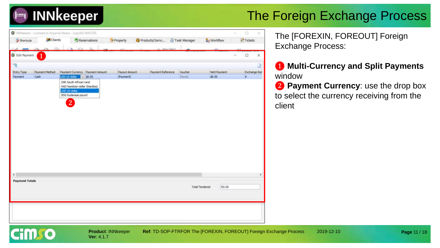

|                                     | WINNkeeper - Licensed to Imperial Palace - LoginID: MASTER |                                    |              |               |                |                   |                |                       |              |        | ū            | × |
|-------------------------------------|------------------------------------------------------------|------------------------------------|--------------|---------------|----------------|-------------------|----------------|-----------------------|--------------|--------|--------------|---|
| Shortcuts                           | <b>SR</b> Clients                                          |                                    | Reservations | Property      | Products/Servi |                   | Task Manager   | <b>L</b> y Worldlow   |              |        | Tickets      |   |
|                                     |                                                            |                                    |              |               |                | View Clent        |                |                       |              |        |              |   |
| G Edit Payment                      | $\bf \Phi$                                                 |                                    |              |               |                |                   |                |                       |              | $\sim$ | $\Box$       | × |
| ×,                                  |                                                            |                                    |              |               |                |                   |                |                       |              |        |              | a |
| Entry Type                          | Payment Method                                             | Payment Currency Payment Amount    |              | Payout Amount |                | Payment Reference | <b>Voucher</b> |                       | Nett Payment |        | Exchange Rat |   |
| Payment                             | Cash                                                       | USD US dollar v \$0.00             |              | (Payment)     |                |                   | [name]         | \$0.00                |              |        | в            |   |
|                                     |                                                            | SDG Sudanese pound<br>$\mathbf{2}$ |              |               |                |                   |                |                       |              |        |              |   |
|                                     |                                                            |                                    |              |               |                |                   |                |                       |              |        |              |   |
|                                     |                                                            |                                    |              |               |                |                   |                |                       |              |        |              | × |
|                                     |                                                            |                                    |              |               |                |                   |                |                       |              |        |              |   |
| $\epsilon$<br><b>Payment Totals</b> |                                                            |                                    |              |               |                |                   |                | <b>Total Tendered</b> | R0.00        |        |              |   |

The [FOREXIN, FOREOUT] Foreign Exchange Process:

❶ **Multi-Currency and Split Payments**  window

❷ **Payment Currency**: use the drop box to select the currency receiving from the client

**Page** 11 / 18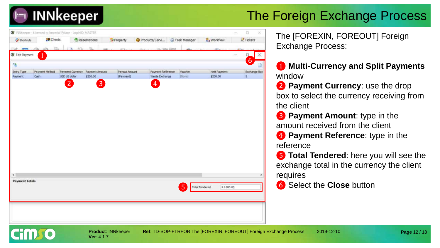

| <sup>2</sup> / Shortcuts | <b>ER</b> Clients |                  | Reservations   | *Property     | Products/Servi Task Manager |                                                            | <b>A</b> Workflow | $\triangleright$ Tickets |
|--------------------------|-------------------|------------------|----------------|---------------|-----------------------------|------------------------------------------------------------|-------------------|--------------------------|
|                          |                   |                  |                |               |                             |                                                            |                   |                          |
|                          |                   |                  |                |               | m. Vew Client               |                                                            |                   |                          |
| G Edit Payment           | $\bf \Phi$        |                  |                |               |                             |                                                            |                   | ×<br>Ц.                  |
| 臀                        |                   |                  |                |               |                             |                                                            |                   | 6                        |
| Entry Type               | Payment Method    | Payment Currency | Payment Amount | Payout Amount | Payment Reference           | Voucher                                                    | Nett Payment      | Exchange Rat             |
| Payment                  | Cash              | USD US dollar    | \$200.00       | (Payment)     | Weste Exchange              | [Nonie]                                                    | \$200.00          | B                        |
|                          |                   |                  |                |               |                             |                                                            |                   |                          |
|                          |                   | $\overline{2}$   | 3              |               | 4                           |                                                            |                   |                          |
|                          |                   |                  |                |               |                             |                                                            |                   |                          |
|                          |                   |                  |                |               |                             |                                                            |                   |                          |
|                          |                   |                  |                |               |                             |                                                            |                   |                          |
|                          |                   |                  |                |               |                             |                                                            |                   |                          |
|                          |                   |                  |                |               |                             |                                                            |                   |                          |
|                          |                   |                  |                |               |                             |                                                            |                   |                          |
|                          |                   |                  |                |               |                             |                                                            |                   |                          |
|                          |                   |                  |                |               |                             |                                                            |                   |                          |
|                          |                   |                  |                |               |                             |                                                            |                   |                          |
|                          |                   |                  |                |               |                             |                                                            |                   |                          |
|                          |                   |                  |                |               |                             |                                                            |                   |                          |
|                          |                   |                  |                |               |                             |                                                            |                   |                          |
|                          |                   |                  |                |               |                             |                                                            |                   |                          |
|                          |                   |                  |                |               |                             |                                                            |                   |                          |
|                          |                   |                  |                |               |                             |                                                            |                   |                          |
|                          |                   |                  |                |               |                             |                                                            |                   |                          |
|                          |                   |                  |                |               |                             |                                                            |                   |                          |
|                          |                   |                  |                |               |                             |                                                            |                   |                          |
|                          |                   |                  |                |               |                             |                                                            |                   |                          |
|                          |                   |                  |                |               |                             |                                                            |                   |                          |
|                          |                   |                  |                |               |                             |                                                            |                   |                          |
|                          |                   |                  |                |               |                             |                                                            |                   |                          |
|                          |                   |                  |                |               |                             |                                                            |                   |                          |
|                          |                   |                  |                |               |                             |                                                            |                   |                          |
|                          |                   |                  |                |               |                             |                                                            |                   |                          |
| €                        |                   |                  |                |               |                             |                                                            |                   |                          |
| <b>Payment Totals</b>    |                   |                  |                |               |                             |                                                            |                   |                          |
|                          |                   |                  |                |               |                             | $\begin{bmatrix} 5 \end{bmatrix}$<br><b>Total Tendered</b> | R1 600.00         |                          |
|                          |                   |                  |                |               |                             |                                                            |                   |                          |
|                          |                   |                  |                |               |                             |                                                            |                   |                          |
|                          |                   |                  |                |               |                             |                                                            |                   |                          |
|                          |                   |                  |                |               |                             |                                                            |                   |                          |
|                          |                   |                  |                |               |                             |                                                            |                   |                          |
|                          |                   |                  |                |               |                             |                                                            |                   |                          |
|                          |                   |                  |                |               |                             |                                                            |                   |                          |

**Ver**: 4.1.7

**Product**: INNkeeper **Ref**: TD-SOP-FTRFOR The [FOREXIN, FOREOUT] Foreign Exchange Process 2019-12-10

The [FOREXIN, FOREOUT] Foreign Exchange Process:

❶ **Multi-Currency and Split Payments**  window

❷ **Payment Currency**: use the drop box to select the currency receiving from the client

**8** Payment Amount: type in the amount received from the client

**4** Payment Reference: type in the reference

- ❺ **Total Tendered**: here you will see the exchange total in the currency the client requires
- ❻ Select the **Close** button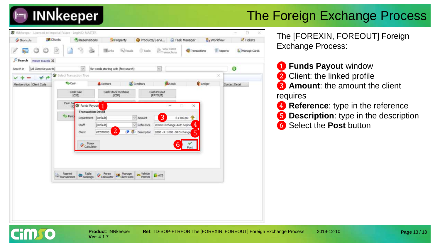

| Vew Clent<br>$m_{\text{transactions}}$<br><b>El</b> Links<br><b>By Visuals</b><br><b>Tasks</b><br>Reports<br>$\mathcal{Z}$<br>Transactions<br>œ<br>Search<br>Weste Travels 34<br>◉<br>$\sim$<br>for words starting with (fast search)<br>[All Client Keywords]<br>$\sim$<br>Search in<br>Select Transaction Type<br>×<br>À<br><b>Stock</b><br>Cash<br>Creditors<br>Ledger<br>Debtors<br>Memberships Client Code<br>Contact Detail<br>Cash Stock Purchase<br>Cash Sale<br>Cash Payout<br>[CSS]<br>[CSP]<br>[PAYOUT]<br>Cash Sal<br>G Funds Payout<br>$\times$<br>$\overline{\phantom{a}}$<br>ſΟ<br><b>Transaction Detail</b><br><b><i>O Perio</i></b><br>3<br>총<br>Department [Default]<br>$\sim$ Amount<br>R1600.00<br>4<br>Weste Exchange Auth Sophie<br>[Default]<br>$\vee$ Reference<br>Staff<br>$\overline{2}$<br>Description<br>\$200 - R 1 600 .00 Exchange<br>$\overline{5}$<br>WEST0003<br>Client:<br>Forex:<br>Calculator<br>6<br>Post<br>Table<br>Forex<br>vehicle<br>Reprint<br>Manage<br>Colculator<br>$\geq$ Transactions<br>ACB<br><b>H</b> Bookings<br>Clent Lists<br>Permits | Shortcuts | <b>SR</b> Clients | Reservations | * Property | Products/Servi J Task Manager | <b>A</b> Workflow | $T$ Tickets  |
|----------------------------------------------------------------------------------------------------------------------------------------------------------------------------------------------------------------------------------------------------------------------------------------------------------------------------------------------------------------------------------------------------------------------------------------------------------------------------------------------------------------------------------------------------------------------------------------------------------------------------------------------------------------------------------------------------------------------------------------------------------------------------------------------------------------------------------------------------------------------------------------------------------------------------------------------------------------------------------------------------------------------------------------------------------------------------------------------|-----------|-------------------|--------------|------------|-------------------------------|-------------------|--------------|
|                                                                                                                                                                                                                                                                                                                                                                                                                                                                                                                                                                                                                                                                                                                                                                                                                                                                                                                                                                                                                                                                                              |           |                   |              |            |                               |                   | Manage Cards |
|                                                                                                                                                                                                                                                                                                                                                                                                                                                                                                                                                                                                                                                                                                                                                                                                                                                                                                                                                                                                                                                                                              |           |                   |              |            |                               |                   |              |
|                                                                                                                                                                                                                                                                                                                                                                                                                                                                                                                                                                                                                                                                                                                                                                                                                                                                                                                                                                                                                                                                                              |           |                   |              |            |                               |                   |              |
|                                                                                                                                                                                                                                                                                                                                                                                                                                                                                                                                                                                                                                                                                                                                                                                                                                                                                                                                                                                                                                                                                              |           |                   |              |            |                               |                   |              |
|                                                                                                                                                                                                                                                                                                                                                                                                                                                                                                                                                                                                                                                                                                                                                                                                                                                                                                                                                                                                                                                                                              |           |                   |              |            |                               |                   |              |
|                                                                                                                                                                                                                                                                                                                                                                                                                                                                                                                                                                                                                                                                                                                                                                                                                                                                                                                                                                                                                                                                                              |           |                   |              |            |                               |                   |              |
|                                                                                                                                                                                                                                                                                                                                                                                                                                                                                                                                                                                                                                                                                                                                                                                                                                                                                                                                                                                                                                                                                              |           |                   |              |            |                               |                   |              |
|                                                                                                                                                                                                                                                                                                                                                                                                                                                                                                                                                                                                                                                                                                                                                                                                                                                                                                                                                                                                                                                                                              |           |                   |              |            |                               |                   |              |
|                                                                                                                                                                                                                                                                                                                                                                                                                                                                                                                                                                                                                                                                                                                                                                                                                                                                                                                                                                                                                                                                                              |           |                   |              |            |                               |                   |              |
|                                                                                                                                                                                                                                                                                                                                                                                                                                                                                                                                                                                                                                                                                                                                                                                                                                                                                                                                                                                                                                                                                              |           |                   |              |            |                               |                   |              |
|                                                                                                                                                                                                                                                                                                                                                                                                                                                                                                                                                                                                                                                                                                                                                                                                                                                                                                                                                                                                                                                                                              |           |                   |              |            |                               |                   |              |
|                                                                                                                                                                                                                                                                                                                                                                                                                                                                                                                                                                                                                                                                                                                                                                                                                                                                                                                                                                                                                                                                                              |           |                   |              |            |                               |                   |              |
|                                                                                                                                                                                                                                                                                                                                                                                                                                                                                                                                                                                                                                                                                                                                                                                                                                                                                                                                                                                                                                                                                              |           |                   |              |            |                               |                   |              |
|                                                                                                                                                                                                                                                                                                                                                                                                                                                                                                                                                                                                                                                                                                                                                                                                                                                                                                                                                                                                                                                                                              |           |                   |              |            |                               |                   |              |
|                                                                                                                                                                                                                                                                                                                                                                                                                                                                                                                                                                                                                                                                                                                                                                                                                                                                                                                                                                                                                                                                                              |           |                   |              |            |                               |                   |              |
|                                                                                                                                                                                                                                                                                                                                                                                                                                                                                                                                                                                                                                                                                                                                                                                                                                                                                                                                                                                                                                                                                              |           |                   |              |            |                               |                   |              |
|                                                                                                                                                                                                                                                                                                                                                                                                                                                                                                                                                                                                                                                                                                                                                                                                                                                                                                                                                                                                                                                                                              |           |                   |              |            |                               |                   |              |
|                                                                                                                                                                                                                                                                                                                                                                                                                                                                                                                                                                                                                                                                                                                                                                                                                                                                                                                                                                                                                                                                                              |           |                   |              |            |                               |                   |              |
|                                                                                                                                                                                                                                                                                                                                                                                                                                                                                                                                                                                                                                                                                                                                                                                                                                                                                                                                                                                                                                                                                              |           |                   |              |            |                               |                   |              |
|                                                                                                                                                                                                                                                                                                                                                                                                                                                                                                                                                                                                                                                                                                                                                                                                                                                                                                                                                                                                                                                                                              |           |                   |              |            |                               |                   |              |

The [FOREXIN, FOREOUT] Foreign Exchange Process:

- ❶ **Funds Payout** window 2 Client: the linked profile **3** Amount: the amount the client requires **4 Reference**: type in the reference **5 Description**: type in the description
- ❻ Select the **Post** button

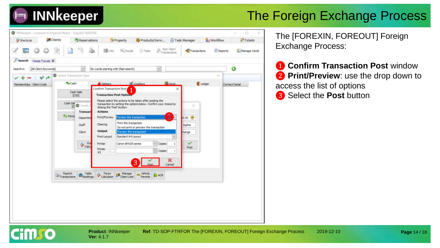



The [FOREXIN, FOREOUT] Foreign Exchange Process:

**1 Confirm Transaction Post** window ❷ **Print/Preview**: use the drop down to access the list of options ❸ Select the **Post** button

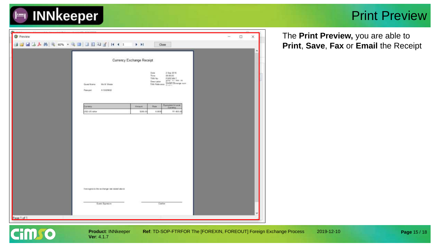

#### Print Preview

| <b>O</b> Preview |                                                               |          |               |                                                                                                                                                                                                                                                                                                                                                 | $\Box$<br>$\equiv$ | × |
|------------------|---------------------------------------------------------------|----------|---------------|-------------------------------------------------------------------------------------------------------------------------------------------------------------------------------------------------------------------------------------------------------------------------------------------------------------------------------------------------|--------------------|---|
|                  |                                                               | F.H      |               | Close                                                                                                                                                                                                                                                                                                                                           |                    |   |
|                  |                                                               |          |               |                                                                                                                                                                                                                                                                                                                                                 |                    |   |
|                  | Currency Exchange Receipt                                     |          |               |                                                                                                                                                                                                                                                                                                                                                 |                    |   |
|                  | Mr. M. Wiene<br>Guest Name<br>A1302842<br>Paimport            |          | Date<br>Time. | 2 Sap 2019<br>09:09:05<br>$\begin{tabular}{ll} \hline \textbf{TOI} & \textbf{FOREJON} \textbf{?} \\ \textbf{Down pair} & \textbf{3-04} & \textbf{1-04} & \textbf{14} \\ \textbf{Down pair} & \textbf{3-04} & \textbf{1-04} & \textbf{14} \\ \textbf{TOI} & \textbf{Table area} & \textbf{1-04} & \textbf{13-04} & \textbf{14} \\ \end{tabular}$ |                    |   |
|                  | Currency                                                      | Anare.   | Rate          | <b>Equiviers In Local</b>                                                                                                                                                                                                                                                                                                                       |                    |   |
|                  | what BU GBU                                                   | \$300.00 | 8,9000        | R1 800.00                                                                                                                                                                                                                                                                                                                                       |                    |   |
|                  | Eveniges to the sechanger also stated above<br>Guest Sigmsure |          |               | Carlier                                                                                                                                                                                                                                                                                                                                         |                    |   |
|                  |                                                               |          |               |                                                                                                                                                                                                                                                                                                                                                 |                    |   |
| Page 1 of 1      |                                                               |          |               |                                                                                                                                                                                                                                                                                                                                                 |                    |   |

**Ver**: 4.1.7

**Cim** o

The **Print Preview,** you are able to **Print**, **Save**, **Fax** or **Email** the Receipt

**Product: INNkeeper Ref: TD-SOP-FTRFOR The [FOREXIN, FOREOUT] Foreign Exchange Process 2019-12-10**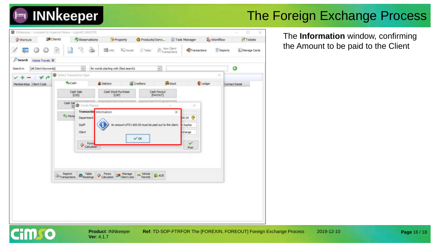## **INNkeeper**

### The Foreign Exchange Process



The **Information** window, confirming the Amount to be paid to the Client



**Ver**: 4.1.7

**Product: INNkeeper Ref: TD-SOP-FTRFOR The [FOREXIN, FOREOUT] Foreign Exchange Process 2019-12-10**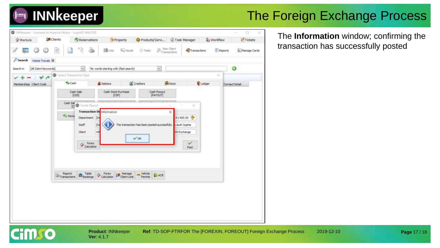



The **Information** window; confirming the transaction has successfully posted